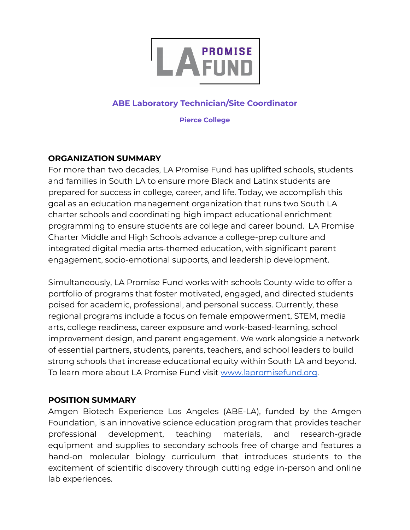

### **ABE Laboratory Technician/Site Coordinator**

**Pierce College**

### **ORGANIZATION SUMMARY**

For more than two decades, LA Promise Fund has uplifted schools, students and families in South LA to ensure more Black and Latinx students are prepared for success in college, career, and life. Today, we accomplish this goal as an education management organization that runs two South LA charter schools and coordinating high impact educational enrichment programming to ensure students are college and career bound. LA Promise Charter Middle and High Schools advance a college-prep culture and integrated digital media arts-themed education, with significant parent engagement, socio-emotional supports, and leadership development.

Simultaneously, LA Promise Fund works with schools County-wide to offer a portfolio of programs that foster motivated, engaged, and directed students poised for academic, professional, and personal success. Currently, these regional programs include a focus on female empowerment, STEM, media arts, college readiness, career exposure and work-based-learning, school improvement design, and parent engagement. We work alongside a network of essential partners, students, parents, teachers, and school leaders to build strong schools that increase educational equity within South LA and beyond. To learn more about LA Promise Fund visit [www.lapromisefund.org](http://www.lapromisefund.org).

#### **POSITION SUMMARY**

Amgen Biotech Experience Los Angeles (ABE-LA), funded by the Amgen Foundation, is an innovative science education program that provides teacher professional development, teaching materials, and research-grade equipment and supplies to secondary schools free of charge and features a hand-on molecular biology curriculum that introduces students to the excitement of scientific discovery through cutting edge in-person and online lab experiences.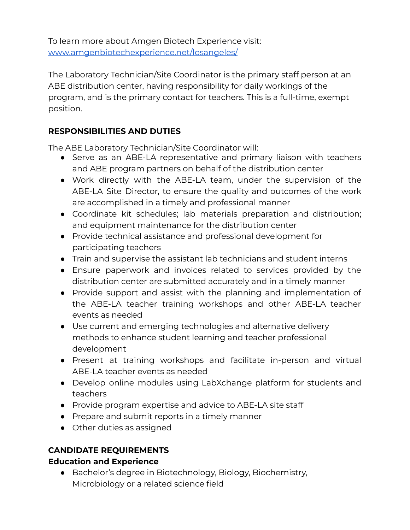To learn more about Amgen Biotech Experience visit: [www.amgenbiotechexperience.net/losangeles/](http://www.amgenbiotechexperience.net/losangeles/)

The Laboratory Technician/Site Coordinator is the primary staff person at an ABE distribution center, having responsibility for daily workings of the program, and is the primary contact for teachers. This is a full-time, exempt position.

## **RESPONSIBILITIES AND DUTIES**

The ABE Laboratory Technician/Site Coordinator will:

- Serve as an ABE-LA representative and primary liaison with teachers and ABE program partners on behalf of the distribution center
- Work directly with the ABE-LA team, under the supervision of the ABE-LA Site Director, to ensure the quality and outcomes of the work are accomplished in a timely and professional manner
- Coordinate kit schedules; lab materials preparation and distribution; and equipment maintenance for the distribution center
- Provide technical assistance and professional development for participating teachers
- Train and supervise the assistant lab technicians and student interns
- Ensure paperwork and invoices related to services provided by the distribution center are submitted accurately and in a timely manner
- Provide support and assist with the planning and implementation of the ABE-LA teacher training workshops and other ABE-LA teacher events as needed
- Use current and emerging technologies and alternative delivery methods to enhance student learning and teacher professional development
- Present at training workshops and facilitate in-person and virtual ABE-LA teacher events as needed
- Develop online modules using LabXchange platform for students and teachers
- Provide program expertise and advice to ABE-LA site staff
- Prepare and submit reports in a timely manner
- Other duties as assigned

# **CANDIDATE REQUIREMENTS**

## **Education and Experience**

● Bachelor's degree in Biotechnology, Biology, Biochemistry, Microbiology or a related science field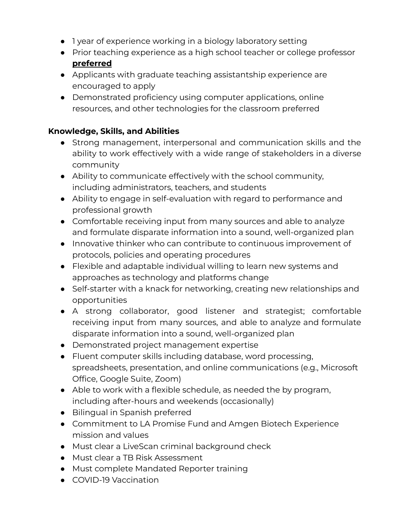- 1 year of experience working in a biology laboratory setting
- Prior teaching experience as a high school teacher or college professor **preferred**
- Applicants with graduate teaching assistantship experience are encouraged to apply
- Demonstrated proficiency using computer applications, online resources, and other technologies for the classroom preferred

### **Knowledge, Skills, and Abilities**

- Strong management, interpersonal and communication skills and the ability to work effectively with a wide range of stakeholders in a diverse community
- Ability to communicate effectively with the school community, including administrators, teachers, and students
- Ability to engage in self-evaluation with regard to performance and professional growth
- Comfortable receiving input from many sources and able to analyze and formulate disparate information into a sound, well-organized plan
- Innovative thinker who can contribute to continuous improvement of protocols, policies and operating procedures
- Flexible and adaptable individual willing to learn new systems and approaches as technology and platforms change
- Self-starter with a knack for networking, creating new relationships and opportunities
- A strong collaborator, good listener and strategist; comfortable receiving input from many sources, and able to analyze and formulate disparate information into a sound, well-organized plan
- Demonstrated project management expertise
- Fluent computer skills including database, word processing, spreadsheets, presentation, and online communications (e.g., Microsoft Office, Google Suite, Zoom)
- Able to work with a flexible schedule, as needed the by program, including after-hours and weekends (occasionally)
- Bilingual in Spanish preferred
- Commitment to LA Promise Fund and Amgen Biotech Experience mission and values
- Must clear a LiveScan criminal background check
- Must clear a TB Risk Assessment
- Must complete Mandated Reporter training
- COVID-19 Vaccination